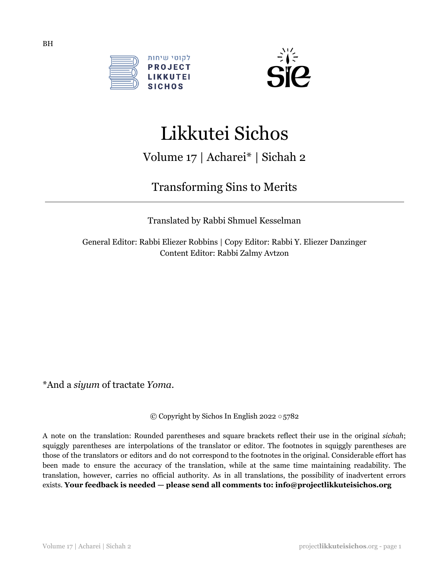



# Likkutei Sichos

Volume 17 | Acharei\* | Sichah 2

# Transforming Sins to Merits

Translated by Rabbi Shmuel Kesselman

General Editor: Rabbi Eliezer Robbins | Copy Editor: Rabbi Y. Eliezer Danzinger Content Editor: Rabbi Zalmy Avtzon

\*And a *siyum* of tractate *Yoma*.

© Copyright by Sichos In English 2022 ○5782

A note on the translation: Rounded parentheses and square brackets reflect their use in the original *sichah*; squiggly parentheses are interpolations of the translator or editor. The footnotes in squiggly parentheses are those of the translators or editors and do not correspond to the footnotes in the original. Considerable effort has been made to ensure the accuracy of the translation, while at the same time maintaining readability. The translation, however, carries no official authority. As in all translations, the possibility of inadvertent errors exists. **Your feedback is needed — please send all comments to: info@projectlikkuteisichos.org**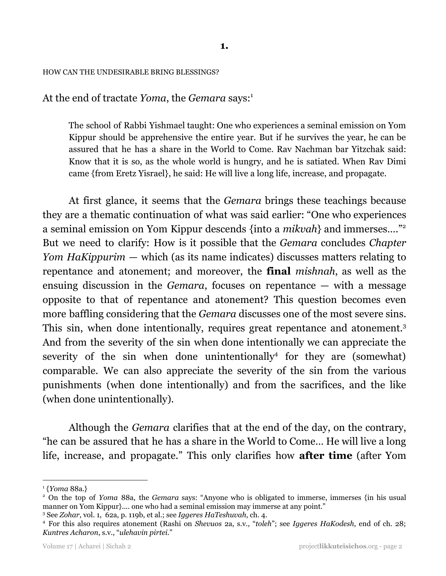#### HOW CAN THE UNDESIRABLE BRING BLESSINGS?

At the end of tractate *Yoma*, the *Gemara* says: 1

The school of Rabbi Yishmael taught: One who experiences a seminal emission on Yom Kippur should be apprehensive the entire year. But if he survives the year, he can be assured that he has a share in the World to Come. Rav Nachman bar Yitzchak said: Know that it is so, as the whole world is hungry, and he is satiated. When Rav Dimi came {from Eretz Yisrael}, he said: He will live a long life, increase, and propagate.

At first glance, it seems that the *Gemara* brings these teachings because they are a thematic continuation of what was said earlier: "One who experiences a seminal emission on Yom Kippur descends {into a *mikvah*} and immerses…." 2 But we need to clarify: How is it possible that the *Gemara* concludes *Chapter Yom HaKippurim* — which (as its name indicates) discusses matters relating to repentance and atonement; and moreover, the **final** *mishnah*, as well as the ensuing discussion in the *Gemara*, focuses on repentance — with a message opposite to that of repentance and atonement? This question becomes even more baffling considering that the *Gemara* discusses one of the most severe sins. This sin, when done intentionally, requires great repentance and atonement.<sup>3</sup> And from the severity of the sin when done intentionally we can appreciate the severity of the sin when done unintentionally<sup>4</sup> for they are (somewhat) comparable. We can also appreciate the severity of the sin from the various punishments (when done intentionally) and from the sacrifices, and the like (when done unintentionally).

Although the *Gemara* clarifies that at the end of the day, on the contrary, "he can be assured that he has a share in the World to Come… He will live a long life, increase, and propagate." This only clarifies how **after time** (after Yom

<sup>1</sup> {*Yoma* 88a.}

<sup>2</sup> On the top of *Yoma* 88a, the *Gemara* says: "Anyone who is obligated to immerse, immerses {in his usual manner on Yom Kippur}.... one who had a seminal emission may immerse at any point."

<sup>3</sup> See *Zohar*, vol. 1, 62a, p. 119b, et al.; see *Iggeres HaTeshuvah*, ch. 4.

<sup>4</sup> For this also requires atonement (Rashi on *Shevuos* 2a, s.v., "*toleh*"; see *Iggeres HaKodesh*, end of ch. 28; *Kuntres Acharon*, s.v., "*ulehavin pirtei*."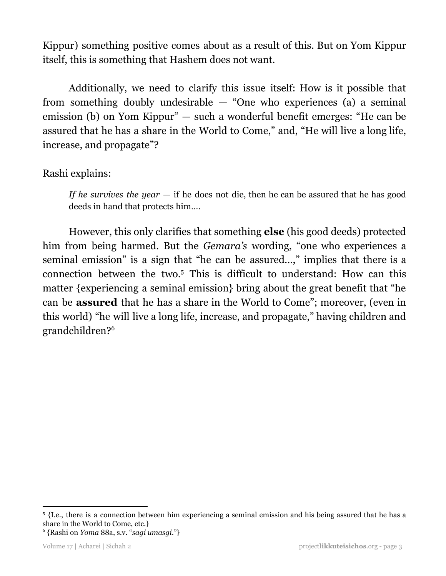Kippur) something positive comes about as a result of this. But on Yom Kippur itself, this is something that Hashem does not want.

Additionally, we need to clarify this issue itself: How is it possible that from something doubly undesirable — "One who experiences (a) a seminal emission (b) on Yom Kippur" — such a wonderful benefit emerges: "He can be assured that he has a share in the World to Come," and, "He will live a long life, increase, and propagate"?

Rashi explains:

*If he survives the year* — if he does not die, then he can be assured that he has good deeds in hand that protects him….

However, this only clarifies that something **else** (his good deeds) protected him from being harmed. But the *Gemara's* wording, "one who experiences a seminal emission" is a sign that "he can be assured…," implies that there is a connection between the two.<sup>5</sup> This is difficult to understand: How can this matter {experiencing a seminal emission} bring about the great benefit that "he can be **assured** that he has a share in the World to Come"; moreover, (even in this world) "he will live a long life, increase, and propagate," having children and grandchildren? 6

<sup>5</sup> {I.e., there is a connection between him experiencing a seminal emission and his being assured that he has a share in the World to Come, etc.}

<sup>6</sup> {Rashi on *Yoma* 88a, s.v. "*sagi umasgi*."}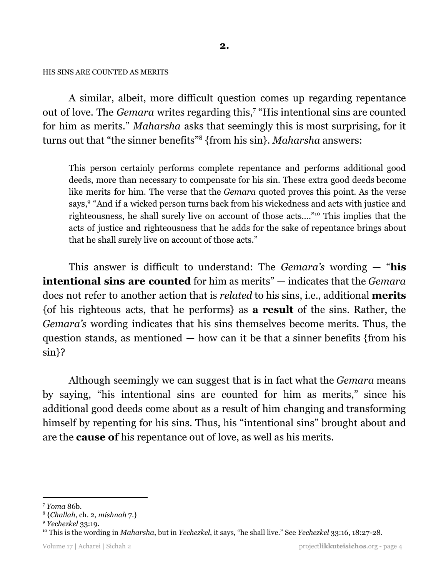#### HIS SINS ARE COUNTED AS MERITS

A similar, albeit, more difficult question comes up regarding repentance out of love. The *Gemara* writes regarding this,<sup>7</sup> "His intentional sins are counted for him as merits." *Maharsha* asks that seemingly this is most surprising, for it turns out that "the sinner benefits"<sup>8</sup> {from his sin}. *Maharsha* answers:

This person certainly performs complete repentance and performs additional good deeds, more than necessary to compensate for his sin. These extra good deeds become like merits for him. The verse that the *Gemara* quoted proves this point. As the verse says,<sup>9</sup> "And if a wicked person turns back from his wickedness and acts with justice and righteousness, he shall surely live on account of those acts...."<sup>10</sup> This implies that the acts of justice and righteousness that he adds for the sake of repentance brings about that he shall surely live on account of those acts."

This answer is difficult to understand: The *Gemara's* wording — "**his intentional sins are counted** for him as merits" — indicates that the *Gemara* does not refer to another action that is *related* to his sins, i.e., additional **merits** {of his righteous acts, that he performs} as **a result** of the sins. Rather, the *Gemara's* wording indicates that his sins themselves become merits. Thus, the question stands, as mentioned — how can it be that a sinner benefits {from his sin}?

Although seemingly we can suggest that is in fact what the *Gemara* means by saying, "his intentional sins are counted for him as merits," since his additional good deeds come about as a result of him changing and transforming himself by repenting for his sins. Thus, his "intentional sins" brought about and are the **cause of** his repentance out of love, as well as his merits.

<sup>7</sup> *Yoma* 86b.

<sup>8</sup> {*Challah*, ch. 2, *mishnah* 7.}

<sup>9</sup> *Yechezkel* 33:19.

<sup>10</sup> This is the wording in *Maharsha*, but in *Yechezkel*, it says, "he shall live." See *Yechezkel* 33:16, 18:27-28.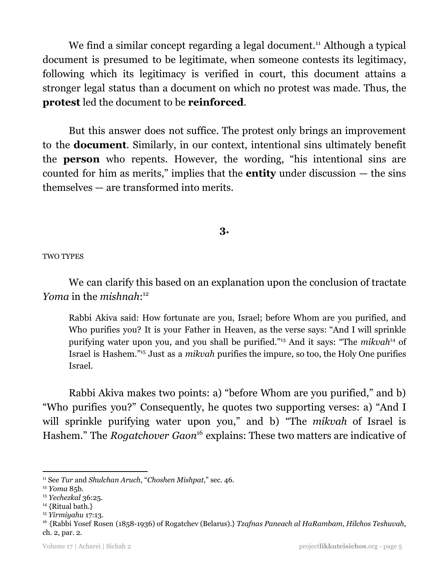We find a similar concept regarding a legal document.<sup>11</sup> Although a typical document is presumed to be legitimate, when someone contests its legitimacy, following which its legitimacy is verified in court, this document attains a stronger legal status than a document on which no protest was made. Thus, the **protest** led the document to be **reinforced**.

But this answer does not suffice. The protest only brings an improvement to the **document**. Similarly, in our context, intentional sins ultimately benefit the **person** who repents. However, the wording, "his intentional sins are counted for him as merits," implies that the **entity** under discussion — the sins themselves — are transformed into merits.

# **3.**

TWO TYPES

We can clarify this based on an explanation upon the conclusion of tractate *Yoma* in the *mishnah*: 12

Rabbi Akiva said: How fortunate are you, Israel; before Whom are you purified, and Who purifies you? It is your Father in Heaven, as the verse says: "And I will sprinkle purifying water upon you, and you shall be purified."<sup>13</sup> And it says: "The *mikvah*<sup>14</sup> of Israel is Hashem."<sup>15</sup> Just as a *mikvah* purifies the impure, so too, the Holy One purifies Israel.

Rabbi Akiva makes two points: a) "before Whom are you purified," and b) "Who purifies you?" Consequently, he quotes two supporting verses: a) "And I will sprinkle purifying water upon you," and b) "The *mikvah* of Israel is Hashem." The *Rogatchover Gaon*<sup>16</sup> explains: These two matters are indicative of

<sup>11</sup> See *Tur* and *Shulchan Aruch*, "*Choshen Mishpat*," sec. 46.

<sup>12</sup> *Yoma* 85b.

<sup>13</sup> *Yechezkal* 36:25.

<sup>&</sup>lt;sup>14</sup> {Ritual bath.}

<sup>15</sup> *Yirmiyahu* 17:13.

<sup>16</sup> {Rabbi Yosef Rosen (1858-1936) of Rogatchev (Belarus).} *Tzafnas Paneach al HaRambam*, *Hilchos Teshuvah*, ch. 2, par. 2.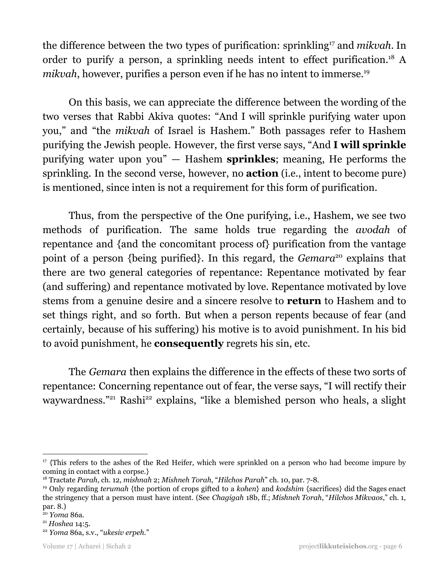the difference between the two types of purification: sprinkling<sup>17</sup> and *mikvah*. In order to purify a person, a sprinkling needs intent to effect purification.<sup>18</sup> A mikvah, however, purifies a person even if he has no intent to immerse.<sup>19</sup>

On this basis, we can appreciate the difference between the wording of the two verses that Rabbi Akiva quotes: "And I will sprinkle purifying water upon you," and "the *mikvah* of Israel is Hashem." Both passages refer to Hashem purifying the Jewish people. However, the first verse says, "And **I will sprinkle** purifying water upon you" — Hashem **sprinkles**; meaning, He performs the sprinkling. In the second verse, however, no **action** (i.e., intent to become pure) is mentioned, since inten is not a requirement for this form of purification.

Thus, from the perspective of the One purifying, i.e., Hashem, we see two methods of purification. The same holds true regarding the *avodah* of repentance and {and the concomitant process of} purification from the vantage point of a person {being purified}. In this regard, the *Gemara*<sup>20</sup> explains that there are two general categories of repentance: Repentance motivated by fear (and suffering) and repentance motivated by love. Repentance motivated by love stems from a genuine desire and a sincere resolve to **return** to Hashem and to set things right, and so forth. But when a person repents because of fear (and certainly, because of his suffering) his motive is to avoid punishment. In his bid to avoid punishment, he **consequently** regrets his sin, etc.

The *Gemara* then explains the difference in the effects of these two sorts of repentance: Concerning repentance out of fear, the verse says, "I will rectify their waywardness."<sup>21</sup> Rashi<sup>22</sup> explains, "like a blemished person who heals, a slight

<sup>&</sup>lt;sup>17</sup> {This refers to the ashes of the Red Heifer, which were sprinkled on a person who had become impure by coming in contact with a corpse.}

<sup>18</sup> Tractate *Parah*, ch. 12, *mishnah* 2; *Mishneh Torah*, "*Hilchos Parah*" ch. 10, par. 7-8.

<sup>19</sup> Only regarding *terumah* {the portion of crops gifted to a *kohen*} and *kodshim* {sacrifices} did the Sages enact the stringency that a person must have intent. (See *Chagigah* 18b, ff.; *Mishneh Torah*, "*Hilchos Mikvaos*," ch. 1, par. 8.)

<sup>20</sup> *Yoma* 86a.

<sup>21</sup> *Hoshea* 14:5.

<sup>22</sup> *Yoma* 86a, s.v., "*ukesiv erpeh*."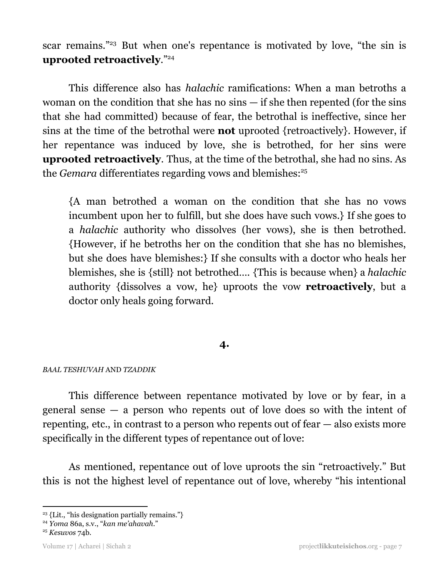scar remains."<sup>23</sup> But when one's repentance is motivated by love, "the sin is **uprooted retroactively**." 24

This difference also has *halachic* ramifications: When a man betroths a woman on the condition that she has no sins — if she then repented (for the sins that she had committed) because of fear, the betrothal is ineffective, since her sins at the time of the betrothal were **not** uprooted {retroactively}. However, if her repentance was induced by love, she is betrothed, for her sins were **uprooted retroactively**. Thus, at the time of the betrothal, she had no sins. As the *Gemara* differentiates regarding vows and blemishes: 25

{A man betrothed a woman on the condition that she has no vows incumbent upon her to fulfill, but she does have such vows.} If she goes to a *halachic* authority who dissolves (her vows), she is then betrothed. {However, if he betroths her on the condition that she has no blemishes, but she does have blemishes:} If she consults with a doctor who heals her blemishes, she is {still} not betrothed…. {This is because when} a *halachic* authority {dissolves a vow, he} uproots the vow **retroactively**, but a doctor only heals going forward.

# **4.**

### *BAAL TESHUVAH* AND *TZADDIK*

This difference between repentance motivated by love or by fear, in a general sense — a person who repents out of love does so with the intent of repenting, etc., in contrast to a person who repents out of fear — also exists more specifically in the different types of repentance out of love:

As mentioned, repentance out of love uproots the sin "retroactively." But this is not the highest level of repentance out of love, whereby "his intentional

<sup>&</sup>lt;sup>23</sup> {Lit., "his designation partially remains."}

<sup>24</sup> *Yoma* 86a, s.v., "*kan me'ahavah*."

<sup>25</sup> *Kesuvos* 74b.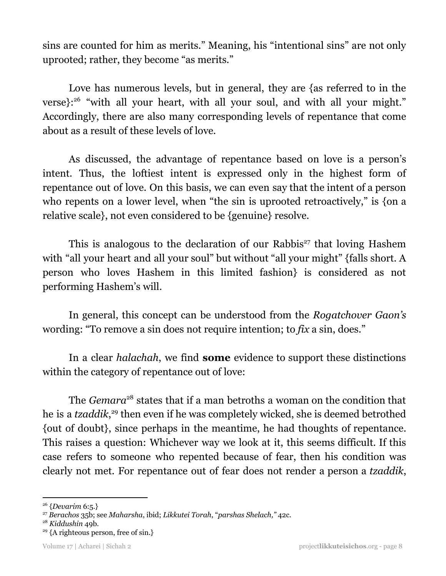sins are counted for him as merits." Meaning, his "intentional sins" are not only uprooted; rather, they become "as merits."

Love has numerous levels, but in general, they are {as referred to in the verse}:<sup>26</sup> "with all your heart, with all your soul, and with all your might." Accordingly, there are also many corresponding levels of repentance that come about as a result of these levels of love.

As discussed, the advantage of repentance based on love is a person's intent. Thus, the loftiest intent is expressed only in the highest form of repentance out of love. On this basis, we can even say that the intent of a person who repents on a lower level, when "the sin is uprooted retroactively," is {on a relative scale}, not even considered to be {genuine} resolve.

This is analogous to the declaration of our Rabbis<sup>27</sup> that loving Hashem with "all your heart and all your soul" but without "all your might" {falls short. A person who loves Hashem in this limited fashion} is considered as not performing Hashem's will.

In general, this concept can be understood from the *Rogatchover Gaon's* wording: "To remove a sin does not require intention; to *fix* a sin, does."

In a clear *halachah*, we find **some** evidence to support these distinctions within the category of repentance out of love:

The *Gemara*<sup>28</sup> states that if a man betroths a woman on the condition that he is a *tzaddik*,<sup>29</sup> then even if he was completely wicked, she is deemed betrothed {out of doubt}, since perhaps in the meantime, he had thoughts of repentance. This raises a question: Whichever way we look at it, this seems difficult. If this case refers to someone who repented because of fear, then his condition was clearly not met. For repentance out of fear does not render a person a *tzaddik*,

<sup>26</sup> {*Devarim* 6:5.}

<sup>27</sup> *Berachos* 35b; see *Maharsha*, ibid; *Likkutei Torah*, "*parshas Shelach,"* 42c.

<sup>28</sup> *Kiddushin* 49b.

<sup>&</sup>lt;sup>29</sup> {A righteous person, free of sin.}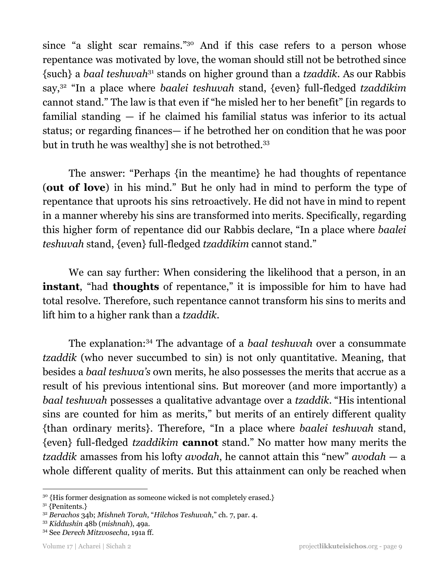since "a slight scar remains."<sup>30</sup> And if this case refers to a person whose repentance was motivated by love, the woman should still not be betrothed since {such} a *baal teshuvah*<sup>31</sup> stands on higher ground than a *tzaddik*. As our Rabbis say, <sup>32</sup> "In a place where *baalei teshuvah* stand, {even} full-fledged *tzaddikim* cannot stand." The law is that even if "he misled her to her benefit" [in regards to familial standing — if he claimed his familial status was inferior to its actual status; or regarding finances— if he betrothed her on condition that he was poor but in truth he was wealthy] she is not betrothed. 33

The answer: "Perhaps {in the meantime} he had thoughts of repentance (**out of love**) in his mind." But he only had in mind to perform the type of repentance that uproots his sins retroactively. He did not have in mind to repent in a manner whereby his sins are transformed into merits. Specifically, regarding this higher form of repentance did our Rabbis declare, "In a place where *baalei teshuvah* stand, {even} full-fledged *tzaddikim* cannot stand."

We can say further: When considering the likelihood that a person, in an **instant**, "had **thoughts** of repentance," it is impossible for him to have had total resolve. Therefore, such repentance cannot transform his sins to merits and lift him to a higher rank than a *tzaddik*.

The explanation:<sup>34</sup> The advantage of a *baal teshuvah* over a consummate *tzaddik* (who never succumbed to sin) is not only quantitative. Meaning, that besides a *baal teshuva's* own merits, he also possesses the merits that accrue as a result of his previous intentional sins. But moreover (and more importantly) a *baal teshuvah* possesses a qualitative advantage over a *tzaddik*. "His intentional sins are counted for him as merits," but merits of an entirely different quality {than ordinary merits}. Therefore, "In a place where *baalei teshuvah* stand, {even} full-fledged *tzaddikim* **cannot** stand." No matter how many merits the *tzaddik* amasses from his lofty *avodah*, he cannot attain this "new" *avodah* — a whole different quality of merits. But this attainment can only be reached when

<sup>&</sup>lt;sup>30</sup> {His former designation as someone wicked is not completely erased.}

<sup>&</sup>lt;sup>31</sup> {Penitents.}

<sup>32</sup> *Berachos* 34b; *Mishneh Torah*, "*Hilchos Teshuvah*," ch. 7, par. 4.

<sup>33</sup> *Kiddushin* 48b (*mishnah*), 49a.

<sup>34</sup> See *Derech Mitzvosecha*, 191a ff.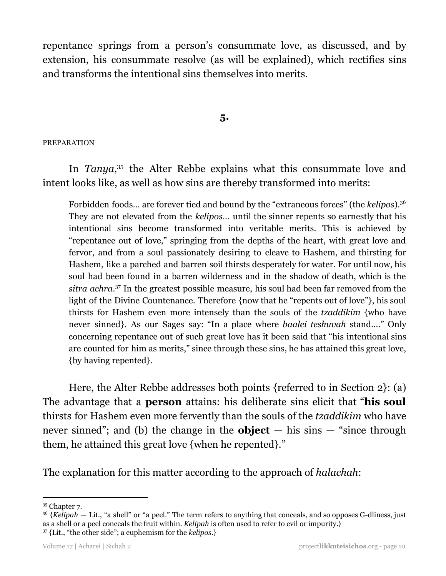repentance springs from a person's consummate love, as discussed, and by extension, his consummate resolve (as will be explained), which rectifies sins and transforms the intentional sins themselves into merits.

**5.**

#### PREPARATION

In *Tanya*,<sup>35</sup> the Alter Rebbe explains what this consummate love and intent looks like, as well as how sins are thereby transformed into merits:

Forbidden foods… are forever tied and bound by the "extraneous forces" (the *kelipos*).<sup>36</sup> They are not elevated from the *kelipos*… until the sinner repents so earnestly that his intentional sins become transformed into veritable merits. This is achieved by "repentance out of love," springing from the depths of the heart, with great love and fervor, and from a soul passionately desiring to cleave to Hashem, and thirsting for Hashem, like a parched and barren soil thirsts desperately for water. For until now, his soul had been found in a barren wilderness and in the shadow of death, which is the *sitra achra*.<sup>37</sup> In the greatest possible measure, his soul had been far removed from the light of the Divine Countenance. Therefore {now that he "repents out of love"}, his soul thirsts for Hashem even more intensely than the souls of the *tzaddikim* {who have never sinned}. As our Sages say: "In a place where *baalei teshuvah* stand…." Only concerning repentance out of such great love has it been said that "his intentional sins are counted for him as merits," since through these sins, he has attained this great love, {by having repented}.

Here, the Alter Rebbe addresses both points {referred to in Section 2}: (a) The advantage that a **person** attains: his deliberate sins elicit that "**his soul** thirsts for Hashem even more fervently than the souls of the *tzaddikim* who have never sinned"; and (b) the change in the **object** — his sins — "since through them, he attained this great love {when he repented}."

The explanation for this matter according to the approach of *halachah*:

<sup>37</sup> {Lit., "the other side"; a euphemism for the *kelipos*.}

<sup>35</sup> Chapter 7.

<sup>&</sup>lt;sup>36</sup> {*Kelipah* — Lit., "a shell" or "a peel." The term refers to anything that conceals, and so opposes G-dliness, just as a shell or a peel conceals the fruit within. *Kelipah* is often used to refer to evil or impurity.}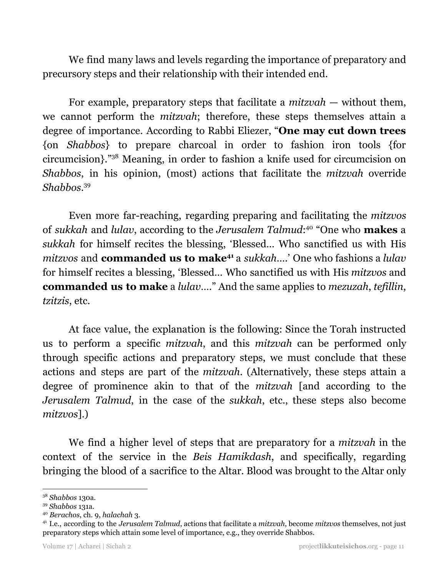We find many laws and levels regarding the importance of preparatory and precursory steps and their relationship with their intended end.

For example, preparatory steps that facilitate a *mitzvah* — without them, we cannot perform the *mitzvah*; therefore, these steps themselves attain a degree of importance. According to Rabbi Eliezer, "**One may cut down trees** {on *Shabbos*} to prepare charcoal in order to fashion iron tools {for circumcision}."<sup>38</sup> Meaning, in order to fashion a knife used for circumcision on *Shabbos*, in his opinion, (most) actions that facilitate the *mitzvah* override *Shabbos*. 39

Even more far-reaching, regarding preparing and facilitating the *mitzvos* of *sukkah* and *lulav*, according to the *Jerusalem Talmud*: "One who **makes** a 40 *sukkah* for himself recites the blessing, 'Blessed… Who sanctified us with His mitzvos and **commanded us to make**<sup>41</sup> a *sukkah*....' One who fashions a *lulav* for himself recites a blessing, 'Blessed… Who sanctified us with His *mitzvos* and **commanded us to make** a *lulav*…." And the same applies to *mezuzah*, *tefillin*, *tzitzis*, etc.

At face value, the explanation is the following: Since the Torah instructed us to perform a specific *mitzvah*, and this *mitzvah* can be performed only through specific actions and preparatory steps, we must conclude that these actions and steps are part of the *mitzvah*. (Alternatively, these steps attain a degree of prominence akin to that of the *mitzvah* [and according to the *Jerusalem Talmud*, in the case of the *sukkah*, etc., these steps also become *mitzvos*].)

We find a higher level of steps that are preparatory for a *mitzvah* in the context of the service in the *Beis Hamikdash*, and specifically, regarding bringing the blood of a sacrifice to the Altar. Blood was brought to the Altar only

<sup>40</sup> *Berachos*, ch. 9, *halachah* 3.

<sup>38</sup> *Shabbos* 130a.

<sup>39</sup> *Shabbos* 131a.

<sup>41</sup> I.e., according to the *Jerusalem Talmud*, actions that facilitate a *mitzvah*, become *mitzvos* themselves, not just preparatory steps which attain some level of importance, e.g., they override Shabbos.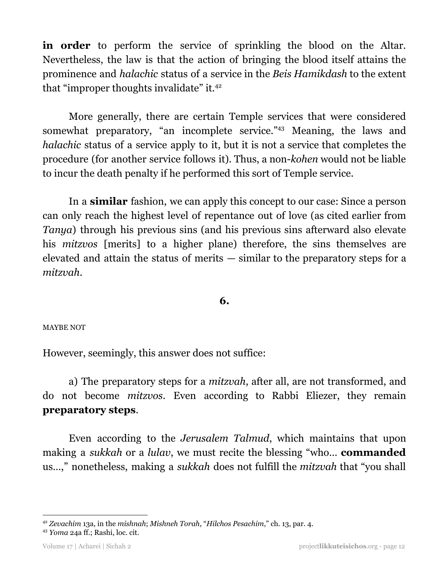**in order** to perform the service of sprinkling the blood on the Altar. Nevertheless, the law is that the action of bringing the blood itself attains the prominence and *halachic* status of a service in the *Beis Hamikdash* to the extent that "improper thoughts invalidate" it.<sup>42</sup>

More generally, there are certain Temple services that were considered somewhat preparatory, "an incomplete service."<sup>43</sup> Meaning, the laws and *halachic* status of a service apply to it, but it is not a service that completes the procedure (for another service follows it). Thus, a non-*kohen* would not be liable to incur the death penalty if he performed this sort of Temple service.

In a **similar** fashion, we can apply this concept to our case: Since a person can only reach the highest level of repentance out of love (as cited earlier from *Tanya*) through his previous sins (and his previous sins afterward also elevate his *mitzvos* [merits] to a higher plane) therefore, the sins themselves are elevated and attain the status of merits — similar to the preparatory steps for a *mitzvah*.

# **6.**

#### MAYBE NOT

However, seemingly, this answer does not suffice:

a) The preparatory steps for a *mitzvah*, after all, are not transformed, and do not become *mitzvos*. Even according to Rabbi Eliezer, they remain **preparatory steps**.

Even according to the *Jerusalem Talmud*, which maintains that upon making a *sukkah* or a *lulav*, we must recite the blessing "who… **commanded** us…," nonetheless, making a *sukkah* does not fulfill the *mitzvah* that "you shall

<sup>42</sup> *Zevachim* 13a, in the *mishnah*; *Mishneh Torah*, "*Hilchos Pesachim*," ch. 13, par. 4.

<sup>43</sup> *Yoma* 24a ff.; Rashi, loc. cit.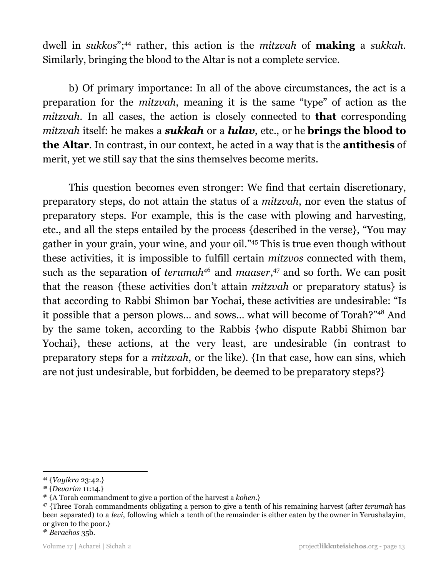dwell in *sukkos*";<sup>44</sup> rather, this action is the *mitzvah* of **making** a *sukkah*. Similarly, bringing the blood to the Altar is not a complete service.

b) Of primary importance: In all of the above circumstances, the act is a preparation for the *mitzvah*, meaning it is the same "type" of action as the *mitzvah*. In all cases, the action is closely connected to **that** corresponding *mitzvah* itself: he makes a *sukkah* or a *lulav*, etc., or he **brings the blood to the Altar**. In contrast, in our context, he acted in a way that is the **antithesis** of merit, yet we still say that the sins themselves become merits.

This question becomes even stronger: We find that certain discretionary, preparatory steps, do not attain the status of a *mitzvah*, nor even the status of preparatory steps. For example, this is the case with plowing and harvesting, etc., and all the steps entailed by the process {described in the verse}, "You may gather in your grain, your wine, and your oil."<sup>45</sup> This is true even though without these activities, it is impossible to fulfill certain *mitzvos* connected with them, such as the separation of *terumah*<sup>46</sup> and *maaser*,<sup>47</sup> and so forth. We can posit that the reason {these activities don't attain *mitzvah* or preparatory status} is that according to Rabbi Shimon bar Yochai, these activities are undesirable: "Is it possible that a person plows... and sows... what will become of Torah?"<sup>48</sup> And by the same token, according to the Rabbis {who dispute Rabbi Shimon bar Yochai}, these actions, at the very least, are undesirable (in contrast to preparatory steps for a *mitzvah*, or the like). {In that case, how can sins, which are not just undesirable, but forbidden, be deemed to be preparatory steps?}

<sup>44</sup> {*Vayikra* 23:42.}

<sup>45</sup> {*Devarim* 11:14.}

<sup>46</sup> {A Torah commandment to give a portion of the harvest a *kohen*.}

<sup>47</sup> {Three Torah commandments obligating a person to give a tenth of his remaining harvest (after *terumah* has been separated) to a *levi*, following which a tenth of the remainder is either eaten by the owner in Yerushalayim, or given to the poor.}

<sup>48</sup> *Berachos* 35b.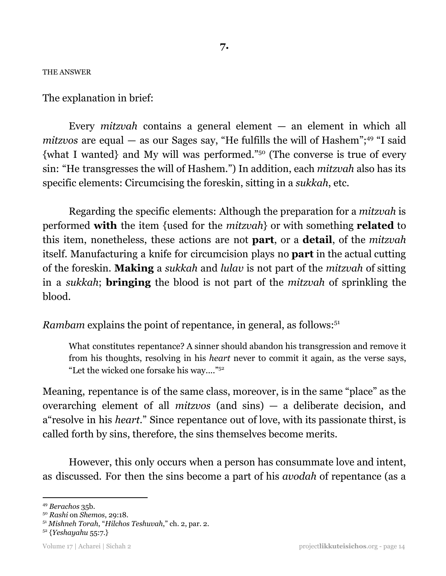#### THE ANSWER

The explanation in brief:

Every *mitzvah* contains a general element — an element in which all mitzvos are equal – as our Sages say, "He fulfills the will of Hashem";<sup>49</sup> "I said {what I wanted} and My will was performed."<sup>50</sup> (The converse is true of every sin: "He transgresses the will of Hashem.") In addition, each *mitzvah* also has its specific elements: Circumcising the foreskin, sitting in a *sukkah*, etc.

Regarding the specific elements: Although the preparation for a *mitzvah* is performed **with** the item {used for the *mitzvah*} or with something **related** to this item, nonetheless, these actions are not **part**, or a **detail**, of the *mitzvah* itself. Manufacturing a knife for circumcision plays no **part** in the actual cutting of the foreskin. **Making** a *sukkah* and *lulav* is not part of the *mitzvah* of sitting in a *sukkah*; **bringing** the blood is not part of the *mitzvah* of sprinkling the blood.

Rambam explains the point of repentance, in general, as follows:<sup>51</sup>

What constitutes repentance? A sinner should abandon his transgression and remove it from his thoughts, resolving in his *heart* never to commit it again, as the verse says, "Let the wicked one forsake his way...."<sup>52</sup>

Meaning, repentance is of the same class, moreover, is in the same "place" as the overarching element of all *mitzvos* (and sins) — a deliberate decision, and a"resolve in his *heart*." Since repentance out of love, with its passionate thirst, is called forth by sins, therefore, the sins themselves become merits.

However, this only occurs when a person has consummate love and intent, as discussed. For then the sins become a part of his *avodah* of repentance (as a

<sup>49</sup> *Berachos* 35b.

<sup>50</sup> *Rashi* on *Shemos*, 29:18.

<sup>51</sup> *Mishneh Torah*, "*Hilchos Teshuvah*," ch. 2, par. 2.

<sup>52</sup> {*Yeshayahu* 55:7.}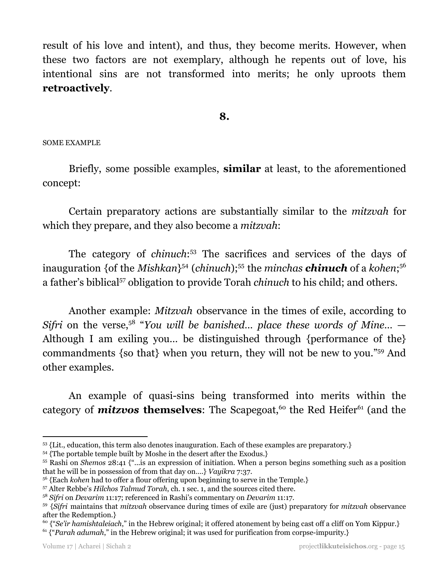result of his love and intent), and thus, they become merits. However, when these two factors are not exemplary, although he repents out of love, his intentional sins are not transformed into merits; he only uproots them **retroactively**.

# **8.**

#### SOME EXAMPLE

Briefly, some possible examples, **similar** at least, to the aforementioned concept:

Certain preparatory actions are substantially similar to the *mitzvah* for which they prepare, and they also become a *mitzvah*:

The category of *chinuch*:<sup>53</sup> The sacrifices and services of the days of inauguration {of the *Mishkan*}<sup>54</sup> (*chinuch*);<sup>55</sup> the *minchas chinuch* of a *kohen*;<sup>56</sup> a father's biblical<sup>57</sup> obligation to provide Torah *chinuch* to his child; and others.

Another example: *Mitzvah* observance in the times of exile, according to *Sifri* on the verse, <sup>58</sup> "*You will be banished… place these words of Mine…* — Although I am exiling you… be distinguished through {performance of the} commandments {so that} when you return, they will not be new to you."<sup>59</sup> And other examples.

An example of quasi-sins being transformed into merits within the category of **mitzvos themselves**: The Scapegoat,<sup>60</sup> the Red Heifer<sup>61</sup> (and the

 $53$  {Lit., education, this term also denotes inauguration. Each of these examples are preparatory.}

<sup>&</sup>lt;sup>54</sup> {The portable temple built by Moshe in the desert after the Exodus.}

<sup>55</sup> Rashi on *Shemos* 28:41 {"...is an expression of initiation. When a person begins something such as a position that he will be in possession of from that day on….} *Vayikra* 7:37.

<sup>&</sup>lt;sup>56</sup> {Each *kohen* had to offer a flour offering upon beginning to serve in the Temple.}

<sup>57</sup> Alter Rebbe's *Hilchos Talmud Torah*, ch. 1 sec. 1, and the sources cited there.

<sup>58</sup> *Sifri* on *Devarim* 11:17; referenced in Rashi's commentary on *Devarim* 11:17.

<sup>59</sup> {*Sifri* maintains that *mitzvah* observance during times of exile are (just) preparatory for *mitzvah* observance after the Redemption.}

<sup>60</sup> {"*Se'ir hamishtaleiach*," in the Hebrew original; it offered atonement by being cast off a cliff on Yom Kippur.}

<sup>61</sup> {"*Parah adumah*," in the Hebrew original; it was used for purification from corpse-impurity.}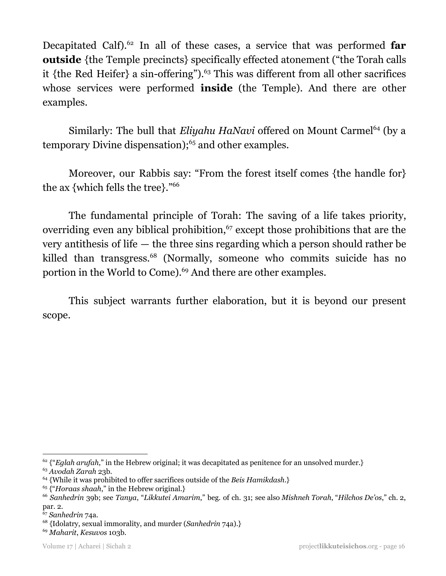Decapitated Calf).<sup>62</sup> In all of these cases, a service that was performed far **outside** {the Temple precincts} specifically effected atonement ("the Torah calls it {the Red Heifer} a sin-offering"). $63$  This was different from all other sacrifices whose services were performed **inside** (the Temple). And there are other examples.

Similarly: The bull that *Eliyahu HaNavi* offered on Mount Carmel<sup>64</sup> (by a temporary Divine dispensation);<sup>65</sup> and other examples.

Moreover, our Rabbis say: "From the forest itself comes {the handle for} the ax {which fells the tree}." 66

The fundamental principle of Torah: The saving of a life takes priority, overriding even any biblical prohibition, $67$  except those prohibitions that are the very antithesis of life — the three sins regarding which a person should rather be killed than transgress.<sup>68</sup> (Normally, someone who commits suicide has no portion in the World to Come).<sup>69</sup> And there are other examples.

This subject warrants further elaboration, but it is beyond our present scope.

<sup>&</sup>lt;sup>62</sup> {"Eglah arufah," in the Hebrew original; it was decapitated as penitence for an unsolved murder.}

<sup>63</sup> *Avodah Zarah* 23b.

<sup>64</sup> {While it was prohibited to offer sacrifices outside of the *Beis Hamikdash*.}

<sup>65</sup> {"*Horaas shaah*," in the Hebrew original.}

<sup>66</sup> *Sanhedrin* 39b; see *Tanya*, "*Likkutei Amarim*," beg. of ch. 31; see also *Mishneh Torah*, "*Hilchos De'os*," ch. 2, par. 2.

<sup>67</sup> *Sanhedrin* 74a.

<sup>68</sup> {Idolatry, sexual immorality, and murder (*Sanhedrin* 74a).}

<sup>69</sup> *Maharit*, *Kesuvos* 103b.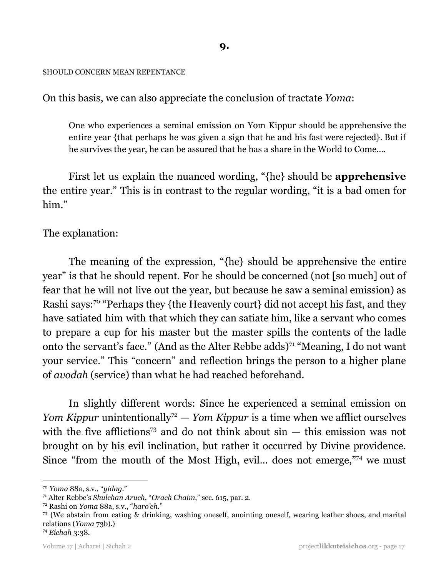**9.**

#### SHOULD CONCERN MEAN REPENTANCE

On this basis, we can also appreciate the conclusion of tractate *Yoma*:

One who experiences a seminal emission on Yom Kippur should be apprehensive the entire year {that perhaps he was given a sign that he and his fast were rejected}. But if he survives the year, he can be assured that he has a share in the World to Come….

First let us explain the nuanced wording, "{he} should be **apprehensive** the entire year." This is in contrast to the regular wording, "it is a bad omen for him."

# The explanation:

The meaning of the expression, "{he} should be apprehensive the entire year" is that he should repent. For he should be concerned (not [so much] out of fear that he will not live out the year, but because he saw a seminal emission) as Rashi says:<sup>70</sup> "Perhaps they {the Heavenly court} did not accept his fast, and they have satiated him with that which they can satiate him, like a servant who comes to prepare a cup for his master but the master spills the contents of the ladle onto the servant's face." (And as the Alter Rebbe adds) $71$  "Meaning, I do not want your service." This "concern" and reflection brings the person to a higher plane of *avodah* (service) than what he had reached beforehand.

In slightly different words: Since he experienced a seminal emission on *Yom Kippur* unintentionally<sup>72</sup> — *Yom Kippur* is a time when we afflict ourselves with the five afflictions<sup>73</sup> and do not think about  $sin - this$  emission was not brought on by his evil inclination, but rather it occurred by Divine providence. Since "from the mouth of the Most High, evil... does not emerge," $74$  we must

<sup>74</sup> *Eichah* 3:38.

<sup>70</sup> *Yoma* 88a, s.v., "*yidag*."

<sup>71</sup> Alter Rebbe's *Shulchan Aruch*, "*Orach Chaim*," sec. 615, par. 2.

<sup>72</sup> Rashi on *Yoma* 88a, s.v., "*haro'eh*."

<sup>73</sup> {We abstain from eating & drinking, washing oneself, anointing oneself, wearing leather shoes, and marital relations (*Yoma* 73b).}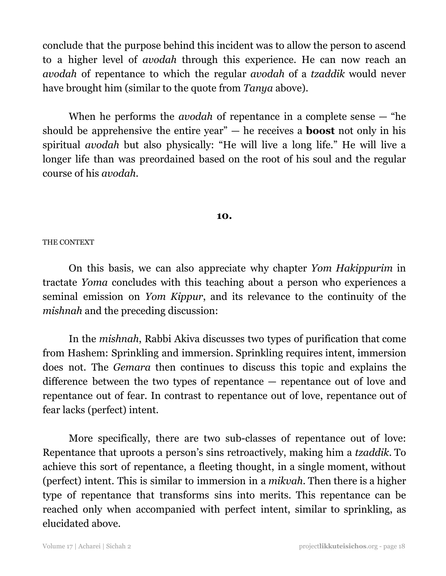conclude that the purpose behind this incident was to allow the person to ascend to a higher level of *avodah* through this experience. He can now reach an *avodah* of repentance to which the regular *avodah* of a *tzaddik* would never have brought him (similar to the quote from *Tanya* above).

When he performs the *avodah* of repentance in a complete sense — "he should be apprehensive the entire year" — he receives a **boost** not only in his spiritual *avodah* but also physically: "He will live a long life." He will live a longer life than was preordained based on the root of his soul and the regular course of his *avodah*.

## **10.**

#### THE CONTEXT

On this basis, we can also appreciate why chapter *Yom Hakippurim* in tractate *Yoma* concludes with this teaching about a person who experiences a seminal emission on *Yom Kippur*, and its relevance to the continuity of the *mishnah* and the preceding discussion:

In the *mishnah*, Rabbi Akiva discusses two types of purification that come from Hashem: Sprinkling and immersion. Sprinkling requires intent, immersion does not. The *Gemara* then continues to discuss this topic and explains the difference between the two types of repentance — repentance out of love and repentance out of fear. In contrast to repentance out of love, repentance out of fear lacks (perfect) intent.

More specifically, there are two sub-classes of repentance out of love: Repentance that uproots a person's sins retroactively, making him a *tzaddik*. To achieve this sort of repentance, a fleeting thought, in a single moment, without (perfect) intent. This is similar to immersion in a *mikvah*. Then there is a higher type of repentance that transforms sins into merits. This repentance can be reached only when accompanied with perfect intent, similar to sprinkling, as elucidated above.